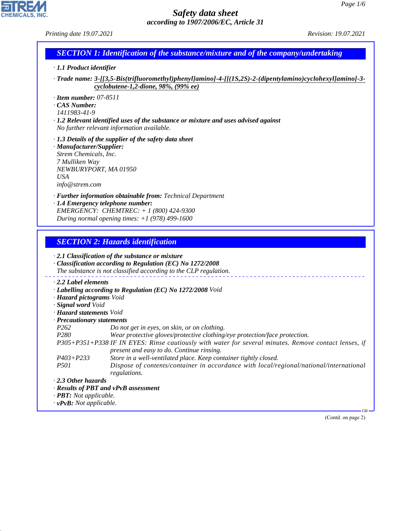# **CHEMICALS, INC.**

44.1.1

# *Safety data sheet according to 1907/2006/EC, Article 31*

*Printing date 19.07.2021 Revision: 19.07.2021*

|  |  | <b>SECTION 1: Identification of the substance/mixture and of the company/undertaking</b> |
|--|--|------------------------------------------------------------------------------------------|
|--|--|------------------------------------------------------------------------------------------|

- *· 1.1 Product identifier*
- *· Trade name: 3-[[3,5-Bis(trifluoromethyl)phenyl]amino]-4-[[(1S,2S)-2-(dipentylamino)cyclohexyl]amino]-3 cyclobutene-1,2-dione, 98%, (99% ee)*
- *· Item number: 07-8511*
- *· CAS Number:*
- *1411983-41-9*
- *· 1.2 Relevant identified uses of the substance or mixture and uses advised against No further relevant information available.*
- *· 1.3 Details of the supplier of the safety data sheet*
- *· Manufacturer/Supplier: Strem Chemicals, Inc. 7 Mulliken Way NEWBURYPORT, MA 01950 USA info@strem.com*
- *· Further information obtainable from: Technical Department*
- *· 1.4 Emergency telephone number: EMERGENCY: CHEMTREC: + 1 (800) 424-9300 During normal opening times: +1 (978) 499-1600*

# *SECTION 2: Hazards identification*

|                                     | $\cdot$ 2.1 Classification of the substance or mixture<br>$\cdot$ Classification according to Regulation (EC) No 1272/2008<br>The substance is not classified according to the CLP regulation. |
|-------------------------------------|------------------------------------------------------------------------------------------------------------------------------------------------------------------------------------------------|
| 2.2 Label elements                  |                                                                                                                                                                                                |
|                                     | · Labelling according to Regulation (EC) No 1272/2008 Void                                                                                                                                     |
| · Hazard pictograms Void            |                                                                                                                                                                                                |
| · Signal word Void                  |                                                                                                                                                                                                |
| · <b>Hazard statements</b> Void     |                                                                                                                                                                                                |
| · Precautionary statements          |                                                                                                                                                                                                |
| P <sub>262</sub>                    | Do not get in eyes, on skin, or on clothing.                                                                                                                                                   |
| <i>P280</i>                         | Wear protective gloves/protective clothing/eye protection/face protection.                                                                                                                     |
|                                     | P305+P351+P338 IF IN EYES: Rinse cautiously with water for several minutes. Remove contact lenses, if<br>present and easy to do. Continue rinsing.                                             |
| $P403 + P233$                       | Store in a well-ventilated place. Keep container tightly closed.                                                                                                                               |
| <i>P501</i>                         | Dispose of contents/container in accordance with local/regional/national/international<br>regulations.                                                                                         |
| $\cdot$ 2.3 Other hazards           |                                                                                                                                                                                                |
|                                     | $\cdot$ Results of PBT and vPvB assessment                                                                                                                                                     |
| $\cdot$ <b>PBT:</b> Not applicable. |                                                                                                                                                                                                |
| $\cdot v$ PvB: Not applicable.      |                                                                                                                                                                                                |
|                                     | $-GB$                                                                                                                                                                                          |

(Contd. on page 2)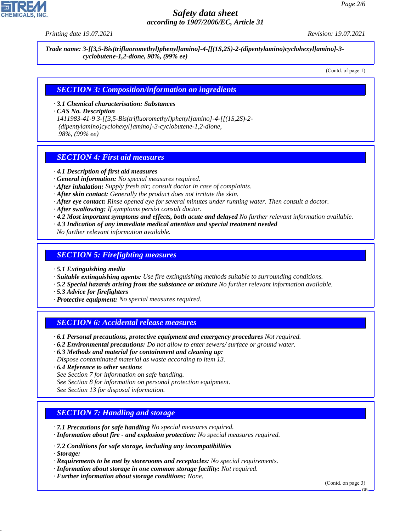

# *Safety data sheet according to 1907/2006/EC, Article 31*

*Printing date 19.07.2021 Revision: 19.07.2021*

*Trade name: 3-[[3,5-Bis(trifluoromethyl)phenyl]amino]-4-[[(1S,2S)-2-(dipentylamino)cyclohexyl]amino]-3 cyclobutene-1,2-dione, 98%, (99% ee)*

(Contd. of page 1)

#### *SECTION 3: Composition/information on ingredients*

*· 3.1 Chemical characterisation: Substances*

*· CAS No. Description*

*1411983-41-9 3-[[3,5-Bis(trifluoromethyl)phenyl]amino]-4-[[(1S,2S)-2- (dipentylamino)cyclohexyl]amino]-3-cyclobutene-1,2-dione, 98%, (99% ee)*

## *SECTION 4: First aid measures*

- *· 4.1 Description of first aid measures*
- *· General information: No special measures required.*
- *· After inhalation: Supply fresh air; consult doctor in case of complaints.*
- *· After skin contact: Generally the product does not irritate the skin.*
- *· After eye contact: Rinse opened eye for several minutes under running water. Then consult a doctor.*
- *· After swallowing: If symptoms persist consult doctor.*
- *· 4.2 Most important symptoms and effects, both acute and delayed No further relevant information available.*
- *· 4.3 Indication of any immediate medical attention and special treatment needed*
- *No further relevant information available.*

### *SECTION 5: Firefighting measures*

- *· 5.1 Extinguishing media*
- *· Suitable extinguishing agents: Use fire extinguishing methods suitable to surrounding conditions.*
- *· 5.2 Special hazards arising from the substance or mixture No further relevant information available.*
- *· 5.3 Advice for firefighters*
- *· Protective equipment: No special measures required.*

### *SECTION 6: Accidental release measures*

- *· 6.1 Personal precautions, protective equipment and emergency procedures Not required.*
- *· 6.2 Environmental precautions: Do not allow to enter sewers/ surface or ground water.*
- *· 6.3 Methods and material for containment and cleaning up:*
- *Dispose contaminated material as waste according to item 13.*
- *· 6.4 Reference to other sections*
- *See Section 7 for information on safe handling.*
- *See Section 8 for information on personal protection equipment.*
- *See Section 13 for disposal information.*

### *SECTION 7: Handling and storage*

- *· 7.1 Precautions for safe handling No special measures required.*
- *· Information about fire and explosion protection: No special measures required.*
- *· 7.2 Conditions for safe storage, including any incompatibilities*
- *· Storage:*

44.1.1

- *· Requirements to be met by storerooms and receptacles: No special requirements.*
- *· Information about storage in one common storage facility: Not required.*
- *· Further information about storage conditions: None.*

(Contd. on page 3)

GB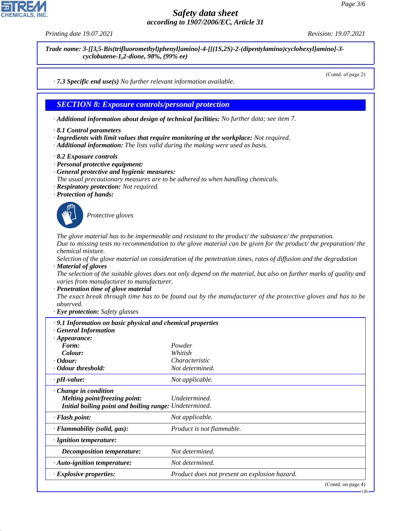44.1.1

# *Safety data sheet according to 1907/2006/EC, Article 31*

*Printing date 19.07.2021 Revision: 19.07.2021*

*Trade name: 3-[[3,5-Bis(trifluoromethyl)phenyl]amino]-4-[[(1S,2S)-2-(dipentylamino)cyclohexyl]amino]-3 cyclobutene-1,2-dione, 98%, (99% ee)*

(Contd. of page 2)

*· 7.3 Specific end use(s) No further relevant information available.*

### *SECTION 8: Exposure controls/personal protection*

*· Additional information about design of technical facilities: No further data; see item 7.*

- *· 8.1 Control parameters*
- *· Ingredients with limit values that require monitoring at the workplace: Not required.*
- *· Additional information: The lists valid during the making were used as basis.*
- *· 8.2 Exposure controls*
- *· Personal protective equipment:*
- *· General protective and hygienic measures:*
- *The usual precautionary measures are to be adhered to when handling chemicals.*
- *· Respiratory protection: Not required.*
- *· Protection of hands:*



\_S*Protective gloves*

*The glove material has to be impermeable and resistant to the product/ the substance/ the preparation. Due to missing tests no recommendation to the glove material can be given for the product/ the preparation/ the chemical mixture.*

*Selection of the glove material on consideration of the penetration times, rates of diffusion and the degradation · Material of gloves*

*The selection of the suitable gloves does not only depend on the material, but also on further marks of quality and varies from manufacturer to manufacturer.*

*· Penetration time of glove material*

*The exact break through time has to be found out by the manufacturer of the protective gloves and has to be observed.*

*· Eye protection: Safety glasses*

| .9.1 Information on basic physical and chemical properties<br><b>General Information</b>                                      |                                               |  |
|-------------------------------------------------------------------------------------------------------------------------------|-----------------------------------------------|--|
| $\cdot$ Appearance:                                                                                                           |                                               |  |
| Form:                                                                                                                         | Powder                                        |  |
| Colour:                                                                                                                       | Whitish                                       |  |
| $\cdot$ Odour:                                                                                                                | Characteristic                                |  |
| · Odour threshold:                                                                                                            | Not determined.                               |  |
| $\cdot$ pH-value:                                                                                                             | Not applicable.                               |  |
| $\cdot$ Change in condition<br><i>Melting point/freezing point:</i><br>Initial boiling point and boiling range: Undetermined. | Undetermined.                                 |  |
| · Flash point:                                                                                                                | Not applicable.                               |  |
| · Flammability (solid, gas):                                                                                                  | Product is not flammable.                     |  |
| · Ignition temperature:                                                                                                       |                                               |  |
| <b>Decomposition temperature:</b>                                                                                             | Not determined.                               |  |
| · Auto-ignition temperature:                                                                                                  | Not determined.                               |  |
| · Explosive properties:                                                                                                       | Product does not present an explosion hazard. |  |
|                                                                                                                               | $(C_{\text{out}}d_{\text{on space}}A)$        |  |

(Contd. on pag

GB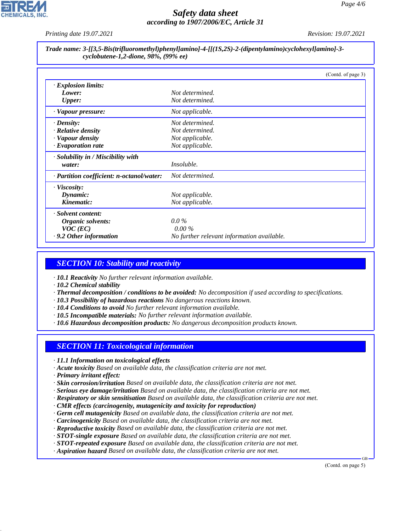

# *Safety data sheet according to 1907/2006/EC, Article 31*

*Printing date 19.07.2021 Revision: 19.07.2021*

*Trade name: 3-[[3,5-Bis(trifluoromethyl)phenyl]amino]-4-[[(1S,2S)-2-(dipentylamino)cyclohexyl]amino]-3 cyclobutene-1,2-dione, 98%, (99% ee)*

|                                           | (Contd. of page 3)                         |
|-------------------------------------------|--------------------------------------------|
| · Explosion limits:                       |                                            |
| Lower:                                    | Not determined.                            |
| <b>Upper:</b>                             | Not determined.                            |
| · Vapour pressure:                        | Not applicable.                            |
| $\cdot$ Density:                          | Not determined.                            |
| · Relative density                        | Not determined.                            |
| · Vapour density                          | Not applicable.                            |
| $\cdot$ Evaporation rate                  | Not applicable.                            |
| $\cdot$ Solubility in / Miscibility with  |                                            |
| water:                                    | <i>Insoluble.</i>                          |
| · Partition coefficient: n-octanol/water: | Not determined.                            |
| $\cdot$ Viscosity:                        |                                            |
| Dynamic:                                  | Not applicable.                            |
| Kinematic:                                | Not applicable.                            |
| · Solvent content:                        |                                            |
| Organic solvents:                         | $0.0\%$                                    |
| $VOC$ (EC)                                | $0.00\%$                                   |
| $\cdot$ 9.2 Other information             | No further relevant information available. |

# *SECTION 10: Stability and reactivity*

*· 10.1 Reactivity No further relevant information available.*

*· 10.2 Chemical stability*

- *· Thermal decomposition / conditions to be avoided: No decomposition if used according to specifications.*
- *· 10.3 Possibility of hazardous reactions No dangerous reactions known.*
- *· 10.4 Conditions to avoid No further relevant information available.*
- *· 10.5 Incompatible materials: No further relevant information available.*
- *· 10.6 Hazardous decomposition products: No dangerous decomposition products known.*

### *SECTION 11: Toxicological information*

- *· 11.1 Information on toxicological effects*
- *· Acute toxicity Based on available data, the classification criteria are not met.*
- *· Primary irritant effect:*

44.1.1

- *· Skin corrosion/irritation Based on available data, the classification criteria are not met.*
- *· Serious eye damage/irritation Based on available data, the classification criteria are not met.*
- *· Respiratory or skin sensitisation Based on available data, the classification criteria are not met.*
- *· CMR effects (carcinogenity, mutagenicity and toxicity for reproduction)*
- *· Germ cell mutagenicity Based on available data, the classification criteria are not met.*
- *· Carcinogenicity Based on available data, the classification criteria are not met.*
- *· Reproductive toxicity Based on available data, the classification criteria are not met.*
- *· STOT-single exposure Based on available data, the classification criteria are not met.*
- *· STOT-repeated exposure Based on available data, the classification criteria are not met.*
- *· Aspiration hazard Based on available data, the classification criteria are not met.*

(Contd. on page 5)

GB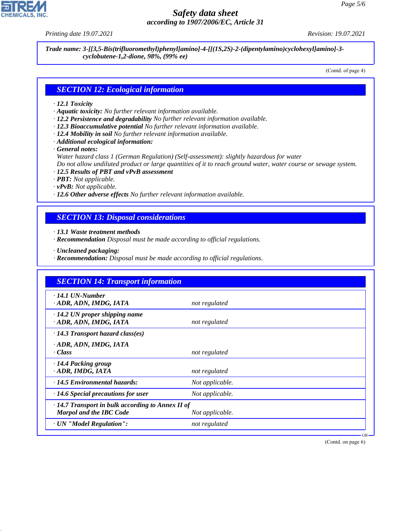44.1.1

# *Safety data sheet according to 1907/2006/EC, Article 31*

*Printing date 19.07.2021 Revision: 19.07.2021*

*Trade name: 3-[[3,5-Bis(trifluoromethyl)phenyl]amino]-4-[[(1S,2S)-2-(dipentylamino)cyclohexyl]amino]-3 cyclobutene-1,2-dione, 98%, (99% ee)*

(Contd. of page 4)

#### *SECTION 12: Ecological information*

#### *· 12.1 Toxicity*

- *· Aquatic toxicity: No further relevant information available.*
- *· 12.2 Persistence and degradability No further relevant information available.*
- *· 12.3 Bioaccumulative potential No further relevant information available.*
- *· 12.4 Mobility in soil No further relevant information available.*
- *· Additional ecological information:*

*· General notes:*

*Water hazard class 1 (German Regulation) (Self-assessment): slightly hazardous for water*

*Do not allow undiluted product or large quantities of it to reach ground water, water course or sewage system.*

- *· 12.5 Results of PBT and vPvB assessment*
- *· PBT: Not applicable.*
- *· vPvB: Not applicable.*
- *· 12.6 Other adverse effects No further relevant information available.*

# *SECTION 13: Disposal considerations*

*· 13.1 Waste treatment methods*

- *· Recommendation Disposal must be made according to official regulations.*
- *· Uncleaned packaging:*
- *· Recommendation: Disposal must be made according to official regulations.*

| <b>SECTION 14: Transport information</b>                                                  |                 |
|-------------------------------------------------------------------------------------------|-----------------|
| $\cdot$ 14.1 UN-Number<br>· ADR, ADN, IMDG, IATA                                          | not regulated   |
| $\cdot$ 14.2 UN proper shipping name<br>ADR, ADN, IMDG, IATA                              | not regulated   |
| $\cdot$ 14.3 Transport hazard class(es)                                                   |                 |
| · ADR, ADN, IMDG, IATA<br>· Class                                                         | not regulated   |
| · 14.4 Packing group<br>· ADR, IMDG, IATA                                                 | not regulated   |
| $\cdot$ 14.5 Environmental hazards:                                                       | Not applicable. |
| $\cdot$ 14.6 Special precautions for user                                                 | Not applicable. |
| $\cdot$ 14.7 Transport in bulk according to Annex II of<br><b>Marpol and the IBC Code</b> | Not applicable. |
| · UN "Model Regulation":                                                                  | not regulated   |

(Contd. on page 6)

GB